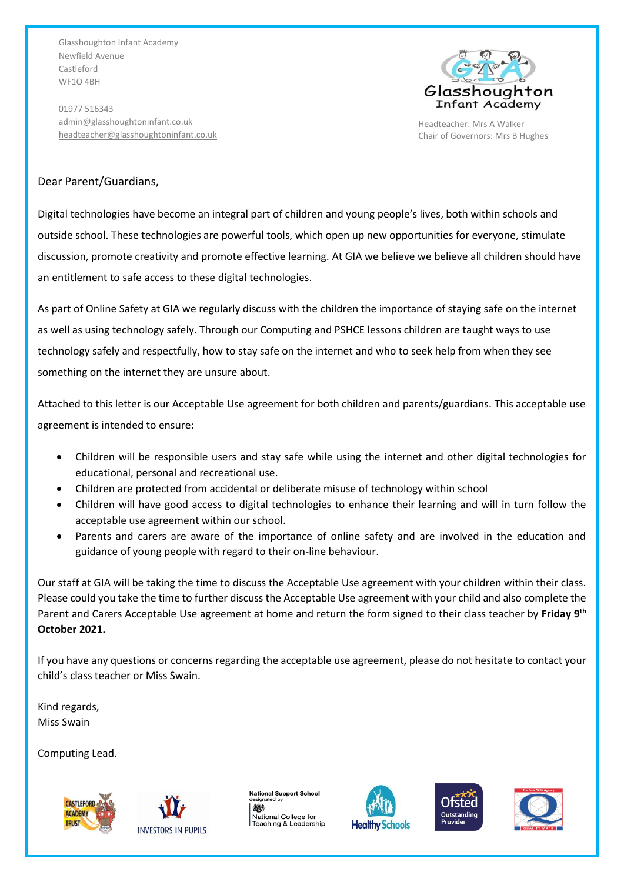01977 516343 [admin@glasshoughtoninfant.co.uk](mailto:admin@glasshoughtoninfant.co.uk) [headteacher@glasshoughtoninfant.co.uk](mailto:headteacher@glasshoughtoninfant.co.uk)



Headteacher: Mrs A Walker Chair of Governors: Mrs B Hughes

#### Dear Parent/Guardians,

Digital technologies have become an integral part of children and young people's lives, both within schools and outside school. These technologies are powerful tools, which open up new opportunities for everyone, stimulate discussion, promote creativity and promote effective learning. At GIA we believe we believe all children should have an entitlement to safe access to these digital technologies.

As part of Online Safety at GIA we regularly discuss with the children the importance of staying safe on the internet as well as using technology safely. Through our Computing and PSHCE lessons children are taught ways to use technology safely and respectfully, how to stay safe on the internet and who to seek help from when they see something on the internet they are unsure about.

Attached to this letter is our Acceptable Use agreement for both children and parents/guardians. This acceptable use agreement is intended to ensure:

- Children will be responsible users and stay safe while using the internet and other digital technologies for educational, personal and recreational use.
- Children are protected from accidental or deliberate misuse of technology within school
- Children will have good access to digital technologies to enhance their learning and will in turn follow the acceptable use agreement within our school.
- Parents and carers are aware of the importance of online safety and are involved in the education and guidance of young people with regard to their on-line behaviour.

Our staff at GIA will be taking the time to discuss the Acceptable Use agreement with your children within their class. Please could you take the time to further discuss the Acceptable Use agreement with your child and also complete the Parent and Carers Acceptable Use agreement at home and return the form signed to their class teacher by **Friday 9th October 2021.** 

If you have any questions or concerns regarding the acceptable use agreement, please do not hesitate to contact your child's class teacher or Miss Swain.

Kind regards, Miss Swain

Computing Lead.





**National Support School**<br>designated by 嫌 National College for<br>Teaching & Leadership





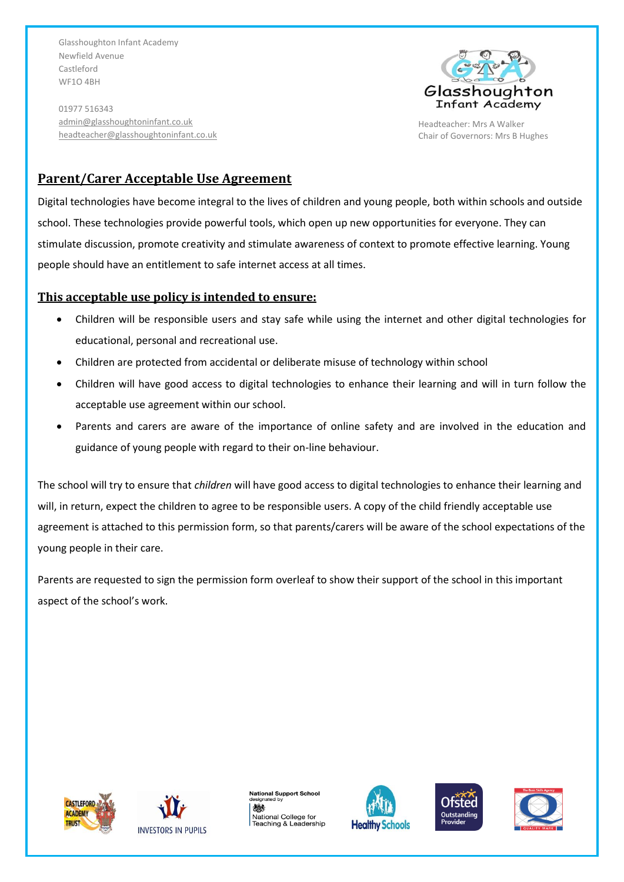

01977 516343 [admin@glasshoughtoninfant.co.uk](mailto:admin@glasshoughtoninfant.co.uk) [headteacher@glasshoughtoninfant.co.uk](mailto:headteacher@glasshoughtoninfant.co.uk)

Headteacher: Mrs A Walker Chair of Governors: Mrs B Hughes

#### **Parent/Carer Acceptable Use Agreement**

Digital technologies have become integral to the lives of children and young people, both within schools and outside school. These technologies provide powerful tools, which open up new opportunities for everyone. They can stimulate discussion, promote creativity and stimulate awareness of context to promote effective learning. Young people should have an entitlement to safe internet access at all times.

#### **This acceptable use policy is intended to ensure:**

- Children will be responsible users and stay safe while using the internet and other digital technologies for educational, personal and recreational use.
- Children are protected from accidental or deliberate misuse of technology within school
- Children will have good access to digital technologies to enhance their learning and will in turn follow the acceptable use agreement within our school.
- Parents and carers are aware of the importance of online safety and are involved in the education and guidance of young people with regard to their on-line behaviour.

The school will try to ensure that *children* will have good access to digital technologies to enhance their learning and will, in return, expect the children to agree to be responsible users. A copy of the child friendly acceptable use agreement is attached to this permission form, so that parents/carers will be aware of the school expectations of the young people in their care.

Parents are requested to sign the permission form overleaf to show their support of the school in this important aspect of the school's work.





**National Support School**<br>designated by 嫌 National College for<br>Teaching & Leadership





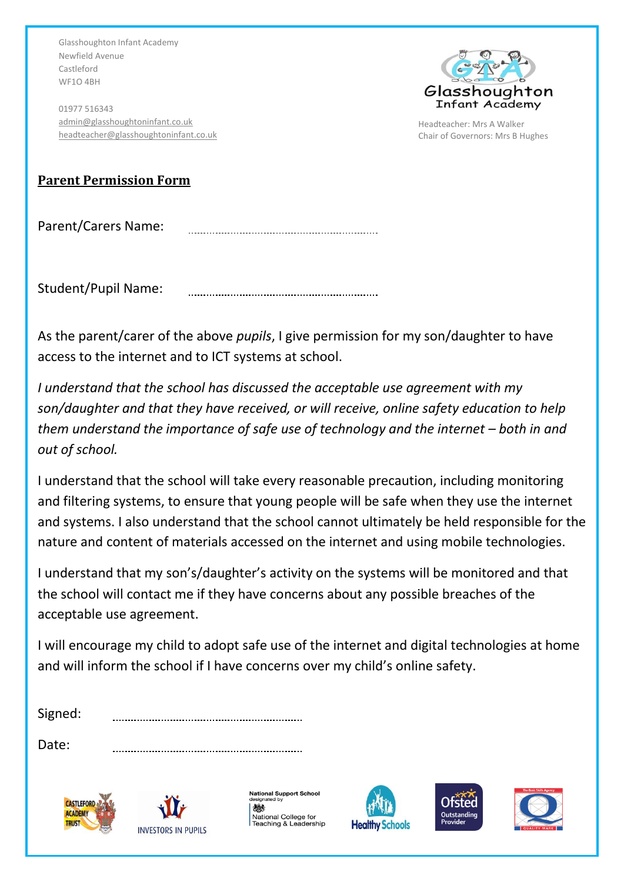

01977 516343 [admin@glasshoughtoninfant.co.uk](mailto:admin@glasshoughtoninfant.co.uk) [headteacher@glasshoughtoninfant.co.uk](mailto:headteacher@glasshoughtoninfant.co.uk)

Headteacher: Mrs A Walker Chair of Governors: Mrs B Hughes

# **Parent Permission Form**

Parent/Carers Name: 

Student/Pupil Name: 

As the parent/carer of the above *pupils*, I give permission for my son/daughter to have access to the internet and to ICT systems at school.

*I understand that the school has discussed the acceptable use agreement with my son/daughter and that they have received, or will receive, online safety education to help them understand the importance of safe use of technology and the internet – both in and out of school.* 

I understand that the school will take every reasonable precaution, including monitoring and filtering systems, to ensure that young people will be safe when they use the internet and systems. I also understand that the school cannot ultimately be held responsible for the nature and content of materials accessed on the internet and using mobile technologies.

I understand that my son's/daughter's activity on the systems will be monitored and that the school will contact me if they have concerns about any possible breaches of the acceptable use agreement.

I will encourage my child to adopt safe use of the internet and digital technologies at home and will inform the school if I have concerns over my child's online safety.

Date: